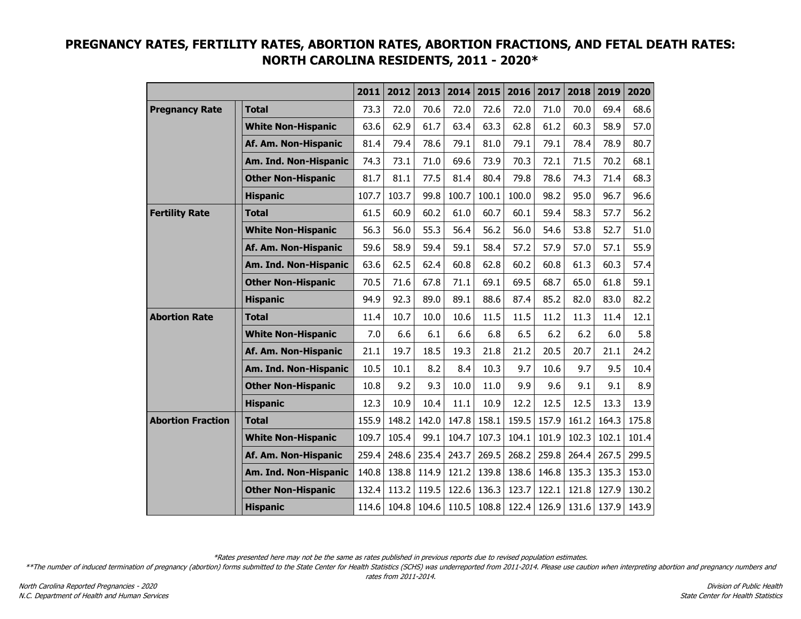|                          |                           | 2011  | 2012  | 2013  | 2014  | 2015  | 2016  | 2017  | 2018  | 2019  | 2020  |
|--------------------------|---------------------------|-------|-------|-------|-------|-------|-------|-------|-------|-------|-------|
| <b>Pregnancy Rate</b>    | <b>Total</b>              | 73.3  | 72.0  | 70.6  | 72.0  | 72.6  | 72.0  | 71.0  | 70.0  | 69.4  | 68.6  |
|                          | <b>White Non-Hispanic</b> | 63.6  | 62.9  | 61.7  | 63.4  | 63.3  | 62.8  | 61.2  | 60.3  | 58.9  | 57.0  |
|                          | Af. Am. Non-Hispanic      | 81.4  | 79.4  | 78.6  | 79.1  | 81.0  | 79.1  | 79.1  | 78.4  | 78.9  | 80.7  |
|                          | Am. Ind. Non-Hispanic     | 74.3  | 73.1  | 71.0  | 69.6  | 73.9  | 70.3  | 72.1  | 71.5  | 70.2  | 68.1  |
|                          | <b>Other Non-Hispanic</b> | 81.7  | 81.1  | 77.5  | 81.4  | 80.4  | 79.8  | 78.6  | 74.3  | 71.4  | 68.3  |
|                          | <b>Hispanic</b>           | 107.7 | 103.7 | 99.8  | 100.7 | 100.1 | 100.0 | 98.2  | 95.0  | 96.7  | 96.6  |
| <b>Fertility Rate</b>    | <b>Total</b>              | 61.5  | 60.9  | 60.2  | 61.0  | 60.7  | 60.1  | 59.4  | 58.3  | 57.7  | 56.2  |
|                          | <b>White Non-Hispanic</b> | 56.3  | 56.0  | 55.3  | 56.4  | 56.2  | 56.0  | 54.6  | 53.8  | 52.7  | 51.0  |
|                          | Af. Am. Non-Hispanic      | 59.6  | 58.9  | 59.4  | 59.1  | 58.4  | 57.2  | 57.9  | 57.0  | 57.1  | 55.9  |
|                          | Am. Ind. Non-Hispanic     | 63.6  | 62.5  | 62.4  | 60.8  | 62.8  | 60.2  | 60.8  | 61.3  | 60.3  | 57.4  |
|                          | <b>Other Non-Hispanic</b> | 70.5  | 71.6  | 67.8  | 71.1  | 69.1  | 69.5  | 68.7  | 65.0  | 61.8  | 59.1  |
|                          | <b>Hispanic</b>           | 94.9  | 92.3  | 89.0  | 89.1  | 88.6  | 87.4  | 85.2  | 82.0  | 83.0  | 82.2  |
| <b>Abortion Rate</b>     | <b>Total</b>              | 11.4  | 10.7  | 10.0  | 10.6  | 11.5  | 11.5  | 11.2  | 11.3  | 11.4  | 12.1  |
|                          | <b>White Non-Hispanic</b> | 7.0   | 6.6   | 6.1   | 6.6   | 6.8   | 6.5   | 6.2   | 6.2   | 6.0   | 5.8   |
|                          | Af. Am. Non-Hispanic      | 21.1  | 19.7  | 18.5  | 19.3  | 21.8  | 21.2  | 20.5  | 20.7  | 21.1  | 24.2  |
|                          | Am. Ind. Non-Hispanic     | 10.5  | 10.1  | 8.2   | 8.4   | 10.3  | 9.7   | 10.6  | 9.7   | 9.5   | 10.4  |
|                          | <b>Other Non-Hispanic</b> | 10.8  | 9.2   | 9.3   | 10.0  | 11.0  | 9.9   | 9.6   | 9.1   | 9.1   | 8.9   |
|                          | <b>Hispanic</b>           | 12.3  | 10.9  | 10.4  | 11.1  | 10.9  | 12.2  | 12.5  | 12.5  | 13.3  | 13.9  |
| <b>Abortion Fraction</b> | <b>Total</b>              | 155.9 | 148.2 | 142.0 | 147.8 | 158.1 | 159.5 | 157.9 | 161.2 | 164.3 | 175.8 |
|                          | <b>White Non-Hispanic</b> | 109.7 | 105.4 | 99.1  | 104.7 | 107.3 | 104.1 | 101.9 | 102.3 | 102.1 | 101.4 |
|                          | Af. Am. Non-Hispanic      | 259.4 | 248.6 | 235.4 | 243.7 | 269.5 | 268.2 | 259.8 | 264.4 | 267.5 | 299.5 |
|                          | Am. Ind. Non-Hispanic     | 140.8 | 138.8 | 114.9 | 121.2 | 139.8 | 138.6 | 146.8 | 135.3 | 135.3 | 153.0 |
|                          | <b>Other Non-Hispanic</b> | 132.4 | 113.2 | 119.5 | 122.6 | 136.3 | 123.7 | 122.1 | 121.8 | 127.9 | 130.2 |
|                          | <b>Hispanic</b>           | 114.6 | 104.8 | 104.6 | 110.5 | 108.8 | 122.4 | 126.9 | 131.6 | 137.9 | 143.9 |

## **PREGNANCY RATES, FERTILITY RATES, ABORTION RATES, ABORTION FRACTIONS, AND FETAL DEATH RATES: NORTH CAROLINA RESIDENTS, 2011 - 2020\***

\*Rates presented here may not be the same as rates published in previous reports due to revised population estimates.

\*\*The number of induced termination of pregnancy (abortion) forms submitted to the State Center for Health Statistics (SCHS) was underreported from 2011-2014. Please use caution when interpreting abortion and pregnancy num rates from 2011-2014.